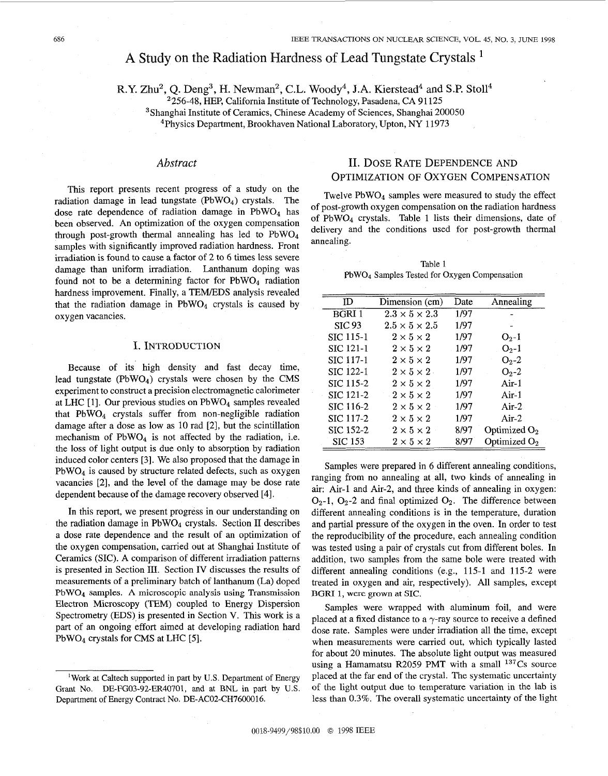# A Study on the Radiation Hardness of Lead Tungstate Crystals <sup>1</sup>

**R.Y.** Zhu2, Q. Deng3, H. Newman2, **C.L.** Woody4, **J.A.** Kierstead4 and **S.P.** Stol14

 $2256-48$ , HEP, California Institute of Technology, Pasadena, CA 91125

3Shanghai Institute of Ceramics, Chinese Academy of Sciences, Shanghai 200050

4Physics Department, Brookhaven National Laboratory, Upton, NY 11973

This report presents recent progress of a study on the radiation damage in lead tungstate (PbWO4) crystals. The dose rate dependence of radiation damage in  $PbWO<sub>4</sub>$  has been observed. An optimization of the oxygen compensation through post-growth thermal annealing has led to  $PbWO<sub>4</sub>$ samples with significantly improved radiation hardness. Front irradiation is found to cause a factor of 2 to 6 times less severe damage than uniform irradiation. Lanthanum doping was found not to be a determining factor for  $PbWO<sub>4</sub>$  radiation hardness improvement. Finally, a TEM/EDS analysis revealed that the radiation damage in  $PbWO<sub>4</sub>$  crystals is caused by oxygen vacancies.

#### I. INTRODUCTION

Because of its high density and fast decay time, lead tungstate (PbW04) crystals were chosen by the CMS experiment to construct a precision electromagnetic calorimeter at LHC [1]. Our previous studies on  $PbWO<sub>4</sub>$  samples revealed that PbW04 crystals suffer from non-negligible radiation damage after a dose as low as 10 rad [2], but the scintillation mechanism of  $PbWO<sub>4</sub>$  is not affected by the radiation, i.e. the loss of light output is due only to absorption by radiation induced color centers [3]. We also proposed that the damage in PbW04 is caused by structure related defects, such as oxygen vacancies [2], and the level of the damage may be dose rate dependent because of the damage recovery observed [4].

In this report, we present progress in our understanding on the radiation damage in  $PbWO<sub>4</sub>$  crystals. Section II describes a dose rate dependence and the result of an optimization of the oxygen compensation, carried out at Shanghai Institute of Ceramics (SIC). A comparison of different irradiation patterns is presented in Section 111. Section IV discusses the results of measurements of a preliminary batch of lanthanum (La) doped PbW04 samples. **A** microscopic analysis using Transmission Electron Microscopy (TEM) coupled to Energy Dispersion Spectrometry (EDS) is presented in Section V. This work is a part of an ongoing effort aimed at developing radiation hard PbW04 crystals for CMS at LHC [5].

# *Abstract* 11. DOSE RATE DEPENDENCE AND OPTIMIZATION OF OXYGEN COMPENSATION

Twelve PbW04 samples were measured to study the effect of post-growth oxygen compensation on the radiation hardness of PbW04 crystals. Table 1 lists their dimensions, date of delivery and the conditions used for post-growth thermal annealing.

Table 1 PbWO4 Samples Tested for Oxygen Compensation

| m                | Dimension (cm)            | Date | Annealing       |
|------------------|---------------------------|------|-----------------|
| <b>BGRI1</b>     | $2.3 \times 5 \times 2.3$ | 1/97 |                 |
| <b>SIC 93</b>    | $2.5 \times 5 \times 2.5$ | 1/97 |                 |
| <b>SIC 115-1</b> | $2 \times 5 \times 2$     | 1/97 | $O_2-1$         |
| <b>SIC 121-1</b> | $2 \times 5 \times 2$     | 1/97 | $O_2 - 1$       |
| <b>SIC 117-1</b> | $2 \times 5 \times 2$     | 1/97 | $O_2 - 2$       |
| SIC 122-1        | $2 \times 5 \times 2$ .   | 1/97 | $O_2 - 2$       |
| <b>SIC 115-2</b> | $2 \times 5 \times 2$     | 1/97 | $Air-1$         |
| SIC 121-2        | $-2\times5\times2$        | 1/97 | $Air-1$         |
| SIC 116-2        | $2 \times 5 \times 2$     | 1/97 | $Air-2$         |
| SIC 117-2        | $2 \times 5 \times 2$     | 1/97 | $Air-2$         |
| SIC 152-2        | $2 \times 5 \times 2$     | 8/97 | Optimized $O_2$ |
| <b>SIC 153</b>   | $2 \times 5 \times 2$     | 8/97 | Optimized $O_2$ |

Samples were prepared in 6 different annealing conditions, ranging from no annealing at all, two kinds of annealing in air: Air-1 and Air-2, and three kinds of annealing in oxygen:  $O_2$ -1,  $O_2$ -2 and final optimized  $O_2$ . The difference between different annealing conditions is in the temperature, duration and partial pressure of the oxygen in the oven. In order to test the reproducibility of the procedure, each annealing condition was tested using a pair of crystals cut from different boles. In addition, two samples from the same bole were treated with different annealing conditions (e.g., 115-1 and 115-2 were treated in oxygen and air, respectively). All samples, except BGRI 1, were grown at **SIC.** 

Samples were wrapped with aluminum foil, and were placed at a fixed distance to a  $\gamma$ -ray source to receive a defined dose rate. Samples were under irradiation all the time, except when measurements were carried out, which typically lasted for about 20 minutes. The absolute light output was measured using a Hamamatsu R2059 PMT with a small  $137Cs$  source placed at the far end of the crystal. The systematic uncertainty of the light output due to temperature variation in the lab is less than 0.3%. The overall systematic uncertainty of the light

<sup>&#</sup>x27;Work at Caltech supported in part by **U.S.** Department of Energy Grant No. DE-FG03-92-ER40701, and at BNL in **part** by **US.**  Department of Energy Contract No. DE-AC02-CH7600016.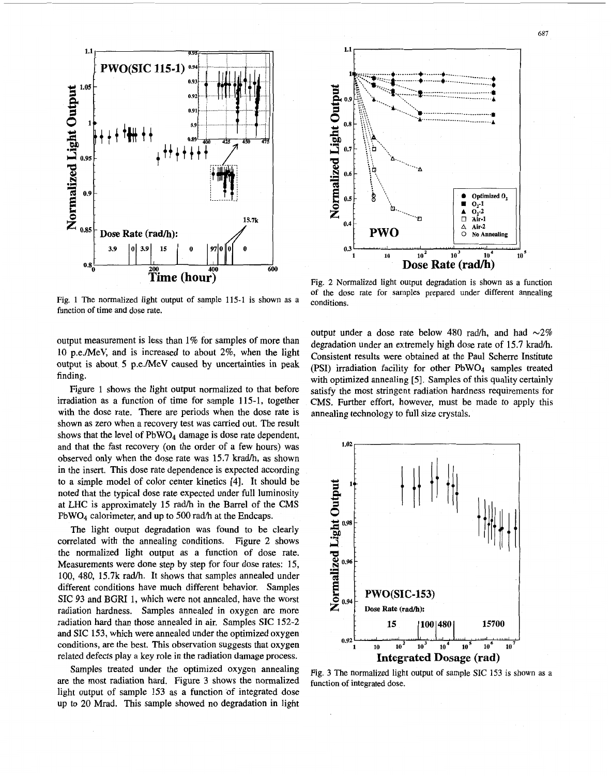

Fig. 1 The normalized light output of sample 115-1 is shown as a function of time and dose rate.

output measurement is less than 1% for samples of more than 10 p.e./MeV, and is increased to about **2%,** when the light output is about *5* p.e./MeV caused by uncertainties in peak finding.

Figure 1 shows the light output normalized to that before irradiation as a function of time for sample 115-1, together with the dose rate. There are periods when the dose rate is shown as zero when a recovery test was carried out. The result shows that the level of  $PbWO<sub>4</sub>$  damage is dose rate dependent, and that the fast recovery (on the order of a few hours) was observed only when the dose rate was 15.7 krad/h, as shown in the insert. This dose rate dependence is expected according to a simple model of color center kinetics **[4].** It should be noted that the typical dose rate expected under full luminosity at LHC is approximately 15 radh in the Barrel of the *CMS*   $PbWO<sub>4</sub>$  calorimeter, and up to 500 rad/h at the Endcaps.

The light output degradation was found to be clearly correlated with the annealing conditions. Figure 2 shows the normalized light output as a function **of** dose rate. Measurements were done step by step for four dose rates: 15, 100, 480, 15.7k rad/h. It shows that samples annealed under different conditions have much different behavior. Samples SIC **93** and BGRI 1, which were not annealed, have the worst radiation hardness. Samples annealed in oxygen are more radiation hard than those annealed in air. Samples SIC 152-2 and SIC **153,** which were annealed under the optimized oxygen conditions, are the best. This observation suggests that oxygen related defects play a key role in the radiation damage process.

Samples treated under the optimized oxygen annealing are the most radiation hard. Figure 3 shows the normalized light output of sample 153 as a function of integrated dose up to **20** Mrad. This sample showed no degradation in light



Fig. *2* Normalized light output degradation is shown as a function of the dose rate for samples prepared under different annealing conditions.

output under a dose rate below 480 rad/h, and had  $\sim 2\%$ degradation under an extremely high dose rate of 15.7 krad/h. Consistent results were obtained at the Paul Scherre Institute (PSI) irradiation facility for other PbWO4 samples treated with optimized annealing [5]. Samples of this quality certainly satisfy the most stringent radiation hardness requirements for CMS. Further effort, however, must be made to apply this annealing technology to full size crystals.



Fig. **3** The normalized light output of sample SIC 153 is shown as a function **of** integrated dose.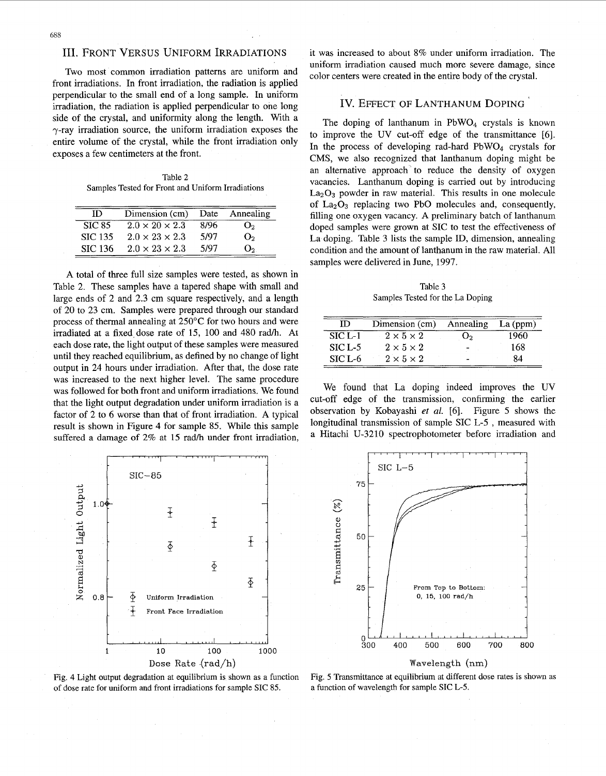# 111. FRONT VERSUS UNIFORM IRRADIATIONS

Two most common irradiation patterns are uniform and front irradiations. In front irradiation, the radiation is applied perpendicular to the small end of a long sample. In uniform irradiation, the radiation is applied perpendicular to one long side of the crystal, and uniformity along the length. With a  $\gamma$ -ray irradiation source, the uniform irradiation exposes the entire volume of the crystal, while the front irradiation only exposes a few centimeters at the front.

Table *2*  Samples Tested for Front and Uniform Irradiations

| ID             | Dimension (cm)             | Date | Annealing      |
|----------------|----------------------------|------|----------------|
| <b>SIC 85</b>  | $2.0 \times 20 \times 2.3$ | 8/96 | U۰.            |
| <b>SIC 135</b> | $2.0 \times 23 \times 2.3$ | 5/97 | O <sub>2</sub> |
| <b>SIC 136</b> | $2.0 \times 23 \times 2.3$ | 5/97 | $O_{2}$        |

A total of three full size samples were tested, as shown in Table 2. These samples have a tapered shape with small and large ends of 2 and 2.3 cm square respectively, and a length of 20 to 23 cm. Samples were prepared through our standard process of thermal annealing at 250°C for two hours and were irradiated at a fixed dose rate of 15, 100 and 480 rad/h. At each dose rate, the light output of these samples were measured until they reached equilibrium, as defined by no change of light output in 24 hours under irradiation. After that, the dose rate was increased to the next higher level. The same procedure was followed for both front and uniform irradiations. We found factor of 2 to 6 worse than that of front irradiation. A typical result is shown in Figure 4 for sample 85. While this sample suffered a damage of 2% at 15 rad/h under front irradiation, that the light output degradation under uniform irradiation is a cut-off edge of the transmission, confirming the earlier



Fig. 4 Light output degradation at equilibrium **is** shown as a function of dose rate for uniform and front irradiations **for** sample **SIC** 85.

it was increased to about 8% under uniform irradiation. The uniform irradiation caused much more severe damage, since color centers were created in the entire body of the crystal.

## Iv. EFFECT OF LANTHANUM DOPING

The doping of lanthanum in  $PbWO<sub>4</sub>$  crystals is known to improve the UV cut-off edge of the transmittance [6]. In the process of developing rad-hard  $PbWO<sub>4</sub>$  crystals for CMS, we also recognized that lanthanum doping might be an alternative approach' to reduce the density of oxygen vacancies. Lanthanum doping is carried out by introducing  $La<sub>2</sub>O<sub>3</sub>$  powder in raw material. This results in one molecule of  $La_2O_3$  replacing two PbO molecules and, consequently, filling one oxygen vacancy. A preliminary batch of lanthanum doped samples were grown at SIC to test the effectiveness of La doping. Table *3* lists the sample ID, dimension, annealing condition and the amount of lanthanum in the raw material. All samples were delivered in June, 1997.

Table 3 Samples Tested for the La Doping

| m        | Dimension (cm)        | Annealing | $La$ (ppm) |
|----------|-----------------------|-----------|------------|
| $STC1-1$ | $2 \times 5 \times 2$ | U2        | 1960       |
| $SICL-5$ | $2 \times 5 \times 2$ |           | 168        |
| $SICL-6$ | $2 \times 5 \times 2$ |           | 84         |

We found that La doping indeed improves the UV observation by Kobayashi *et d.* 161. Figure *5* shows the longitudinal transmission of sample SIC L-5 , measured with a Hitachi U-3210 spectrophotometer before irradiation and



#### Wavelength (nm)

Fig. *5* Transmittance at equilibrium at different dose rates **is** shown as a function of wavelength for sample **SIC** L-5.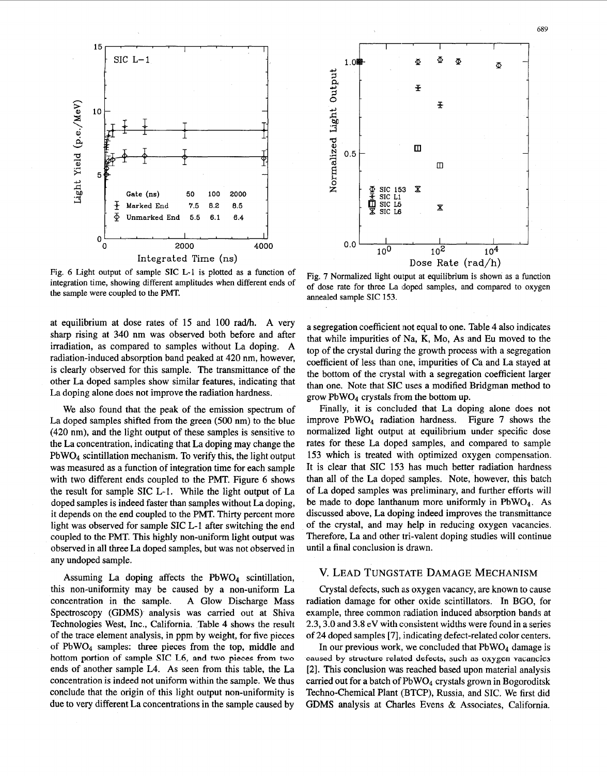

Fig. 6 Light output of sample SIC L-1 is plotted as a function of integration time, showing different amplitudes when different ends of the sample were coupled to the PMT.

at equilibrium at dose rates of 15 and 100 rad/h. A very sharp rising at 340 nm was observed both before and after irradiation, as compared to samples without La doping. A radiation-induced absorption band peaked at 420 nm, however, is clearly observed for this sample. The transmittance of the other La doped samples show similar features, indicating that La doping alone does not improve the radiation hardness.

We also found that the peak of the emission spectrum of La doped samples shifted from the green (500 nm) to the blue (420 nm), and the light output **of** these samples is sensitive to the La concentration, indicating that La doping may change the PbW04 scintillation mechanism. To verify this, the light output was measured as a function of integration time for each sample with two different ends coupled to the PMT. Figure *6* shows the result for sample SIC L-1. While the light output of La doped samples is indeed faster than samples without La doping, it depends on the end coupled to the PMT. Thirty percent more light was observed for sample SIC L-1 after switching the end coupled to the PMT. This highly non-uniform light output was observed in all three La doped samples, but was not observed in any undoped sample.

Assuming La doping affects the  $PbWO<sub>4</sub>$  scintillation, this non-uniformity may be caused by a non-uniform La concentration in the sample. A Glow Discharge Mass Spectroscopy (GDMS) analysis was carried out at Shiva Technologies West, Inc., California. [Table](#page-4-0) **4** shows the result of the trace element analysis, in ppm by weight, for five pieces **of** PbWO4 samples: three pieces from the top, middle and bottom portion of **sample SIC L6, and two pieces from two**  ends of another sample L4. As seen from this table, the La concentration **is** indeed not uniform within the sample. We thus conclude that the origin of this light output non-uniformity is due to very different La concentrations in the sample caused by



Fig. 7 Normalized light output at equilibrium is shown as a function

a segregation coefficient not equal to one. [Table 4](#page-4-0) also indicates that while impurities of Na, K, Mo, **As** and Eu moved to the top of the crystal during the growth process with a segregation coefficient of less than one, impurities of Ca and La stayed at

of dose rate for three La doped samples, and compared to oxygen

annealed sample **SIC 153.** 

the bottom of the crystal with a segregation coefficient larger than one. Note that SIC uses a modified Bridgman method to grow PbWO4 crystals from the bottom up. Finally, it is concluded that La doping alone does not improve PbW04 radiation hardness. Figure 7 shows the normalized light output at equilibrium under specific dose

rates for these La doped samples, and compared to sample 153 which is treated with optimized oxygen compensation. It is clear that SIC 153 has much better radiation hardness than all of the La doped' samples. Note, however, this batch of La doped samples was preliminary, and further efforts will be made to dope lanthanum more uniformly in  $PbWO<sub>4</sub>$ . As discussed above, La doping indeed improves the transmittance of the crystal, and may help in reducing oxygen vacancies. Therefore, La and other tri-valent doping studies will continue until a final conclusion is drawn.

# **V.** LEAD TUNGSTATE DAMAGE MECHANISM

Crystal defects, such **als** oxygen vacancy, are known to cause radiation damage for other oxide scintillators. In BGO, for example, three common radiation induced absorption bands at 2.3,3.0 and 3.8 **eV** with consistent widths were found in a series of 24 doped samples *[7],* indicating defect-related color centers.

In our previous work, we concluded that  $PbWO<sub>4</sub>$  damage is **caused** by **structure related defects, such as oxygen** vacancies [2]. This conclusion was reached based upon material analysis carried out for a batch of  $PbWO<sub>4</sub>$  crystals grown in Bogoroditsk Techno-Chemical Plant (BTCP), Russia, and SIC. We first did GDMS analysis at Charles Evens & Associates, California.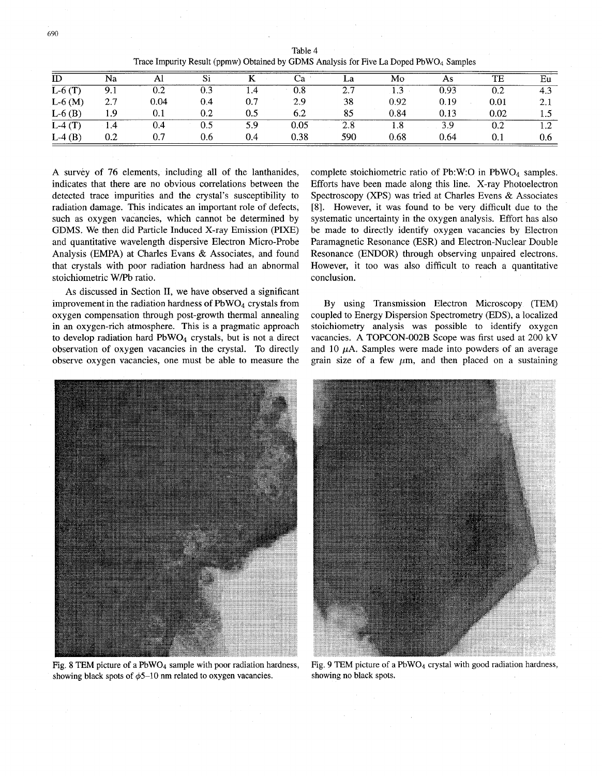<span id="page-4-0"></span>

| ID       | Na  | Al   | Si  |     |      | La  | Mo   | As   | TE   | Eu  |
|----------|-----|------|-----|-----|------|-----|------|------|------|-----|
| $L-6(T)$ | 9.1 | 0.2  | 0.3 | 1.4 | 0.8  | 2.7 | 1.3  | 0.93 | 0.2  | 4.3 |
| $L-6(M)$ | 2.7 | 0.04 | 0.4 | 0.7 | 2.9  | 38  | 0.92 | 0.19 | 0.01 | 2.1 |
| $L-6(B)$ | 1.9 |      | 0.2 | 0.5 | 6.2  | 85  | 0.84 | 0.13 | 0.02 |     |
| $L-4(T)$ | 1.4 | 0.4  | 0.5 | 5.9 | 0.05 | 2.8 | 1.8  | 3.9  | 0.2  | 1.4 |
| $L-4(B)$ | 0.2 | 0.7  | 0.6 | 0.4 | 0.38 | 590 | 0.68 | 0.64 | 0.1  | 0.6 |

Table **4**  Trace Impurity Result (ppmw) Obtained by GDMS Analysis for Five La Doped PbWO<sub>4</sub> Samples

**A** survey of 76 elements, including all of the lanthanides, indicates that there are no obvious correlations between the detected trace impurities and the crystal's susceptibility to radiation damage. This indicates an important role of defects, such as oxygen vacancies, which cannot be determined by GDMS. We then did Particle Induced X-ray Emission (PIXE) and quantitative wavelength dispersive Electron Micro-Probe Analysis (EMPA) at Charles Evans & Associates, and found that crystals with poor radiation hardness had an abnormal stoichiometric W/Pb ratio.

As discussed in Section **IT,** we have observed a significant improvement in the radiation hardness of  $PbWO<sub>4</sub>$  crystals from oxygen compensation through post-growth thermal annealing in an oxygen-rich atmosphere. This is a pragmatic approach to develop radiation hard  $PbWO<sub>4</sub>$  crystals, but is not a direct observation of oxygen vacancies in the crystal. To directly observe oxygen vacancies, one must be able to measure the

complete stoichiometric ratio of Pb:W:O in PbW04 samples. Efforts have been made along this line. X-ray Photoelectron Spectroscopy (XPS) was tried at Charles Evens & Associates [8]. However, it was found to be very difficult due to the systematic uncertainty in the oxygen analysis. Effort has also be made to directly identify oxygen vacancies by Electron Paramagnetic Resonance (ESR) and Electron-Nuclear Double Resonance (ENDOR) through observing unpaired electrons. However, it too was also difficult to reach a quantitative conclusion.

By using Transmission Electron Microscopy (TEM) coupled to Energy Dispersion Spectrometry (EDS), a localized stoichiometry analysis was possible to identify oxygen vacancies. A TOPCON-002B Scope was first used at 200 kV and 10  $\mu$ A. Samples were made into powders of an average grain size of a few  $\mu$ m, and then placed on a sustaining



Fig. 8 TEM picture of a PbW04 sample with poor radiation hardness, showing black spots of  $\phi$ 5-10 nm related to oxygen vacancies.



Fig. 9 TEM picture of a PbWO<sub>4</sub> crystal with good radiation hardness, showing no black spots.